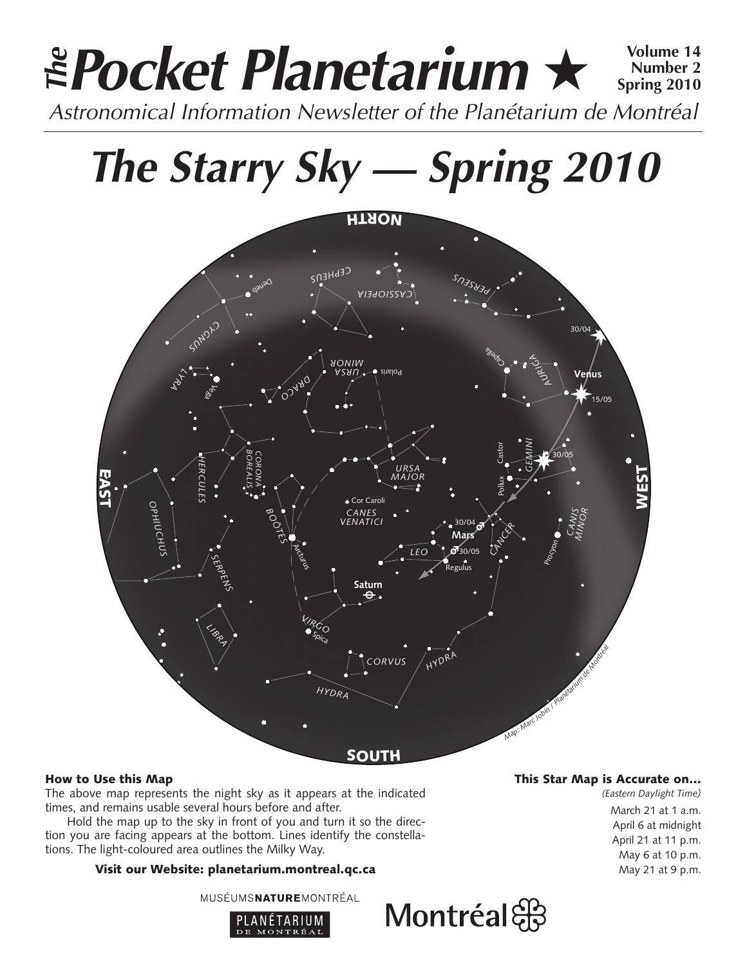# **Pocket Planetarium** ★ **Volume 14** Astronomical Information Newsletter of the Planétarium de Montréal **The Number 2 Spring 2010**

**The Starry Sky — Spring 2010**



# How to Use this Map

The above map represents the night sky as it appears at the indicated times, and remains usable several hours before and after.

Hold the map up to the sky in front of you and turn it so the direction you are facing appears at the bottom. Lines identify the constellations. The light-coloured area outlines the Milky Way.

# Visit our Website: planetarium.montreal.qc.ca

MUSÉUMSNATUREMONTRÉAL



# This Star Map is Accurate on…

*(Eastern Daylight Time)* March 21 at 1 a.m. April 6 at midnight April 21 at 11 p.m. May 6 at 10 p.m. May 21 at 9 p.m.